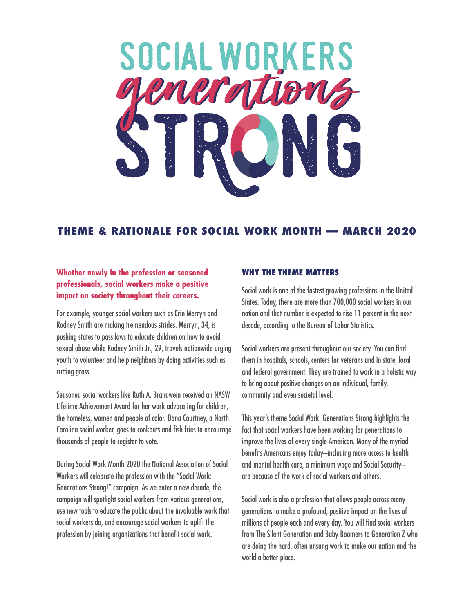

# **THEME & RATIONALE FOR SOCIAL WORK MONTH — MARCH 2020**

## **Whether newly in the profession or seasoned professionals, social workers make a positive impact on society throughout their careers.**

For example, younger social workers such as Erin Merryn and Rodney Smith are making tremendous strides. Merryn, 34, is pushing states to pass laws to educate children on how to avoid sexual abuse while Rodney Smith Jr., 29, travels nationwide urging youth to volunteer and help neighbors by doing activities such as cutting grass.

Seasoned social workers like Ruth A. Brandwein received an NASW Lifetime Achievement Award for her work advocating for children, the homeless, women and people of color. Dana Courtney, a North Carolina social worker, goes to cookouts and fish fries to encourage thousands of people to register to vote.

During Social Work Month 2020 the National Association of Social Workers will celebrate the profession with the "Social Work: Generations Strong!" campaign. As we enter a new decade, the campaign will spotlight social workers from various generations, use new tools to educate the public about the invaluable work that social workers do, and encourage social workers to uplift the profession by joining organizations that benefit social work.

### **WHY THE THEME MATTERS**

Social work is one of the fastest growing professions in the United States. Today, there are more than 700,000 social workers in our nation and that number is expected to rise 11 percent in the next decade, according to the Bureau of Labor Statistics.

Social workers are present throughout our society. You can find them in hospitals, schools, centers for veterans and in state, local and federal government. They are trained to work in a holistic way to bring about positive changes on an individual, family, community and even societal level.

This year's theme Social Work: Generations Strong highlights the fact that social workers have been working for generations to improve the lives of every single American. Many of the myriad benefits Americans enjoy today–including more access to health and mental health care, a minimum wage and Social Security– are because of the work of social workers and others.

Social work is also a profession that allows people across many generations to make a profound, positive impact on the lives of millions of people each and every day. You will find social workers from The Silent Generation and Baby Boomers to Generation Z who are doing the hard, often unsung work to make our nation and the world a better place.